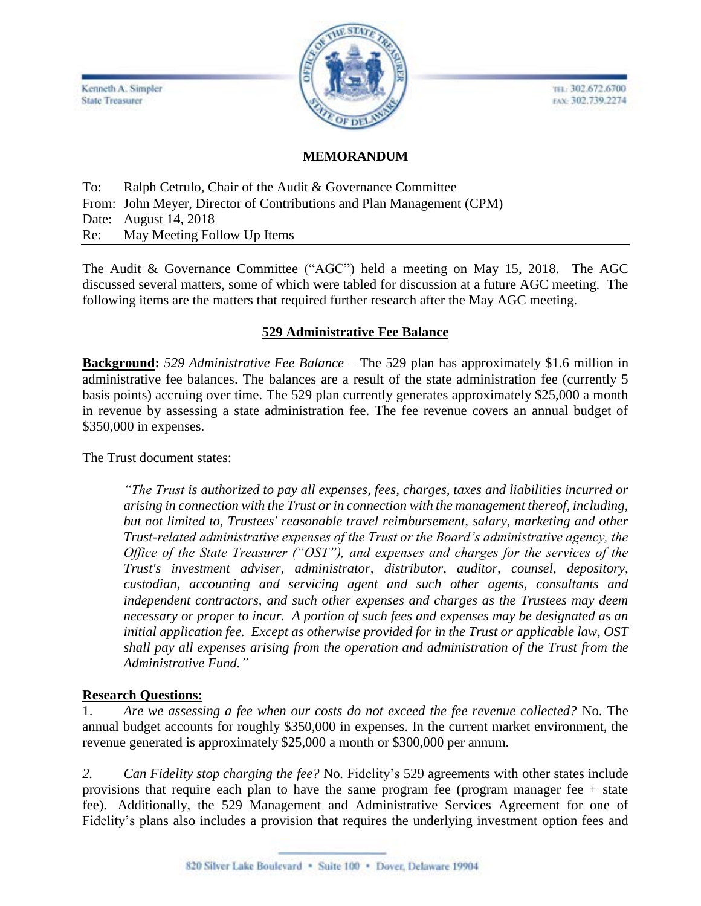

TEL: 302.672.6700 EAX: 302.739.2274

# **MEMORANDUM**

To: Ralph Cetrulo, Chair of the Audit & Governance Committee From: John Meyer, Director of Contributions and Plan Management (CPM) Date: August 14, 2018 Re: May Meeting Follow Up Items

The Audit & Governance Committee ("AGC") held a meeting on May 15, 2018. The AGC discussed several matters, some of which were tabled for discussion at a future AGC meeting. The following items are the matters that required further research after the May AGC meeting.

### **529 Administrative Fee Balance**

**Background:** *529 Administrative Fee Balance* – The 529 plan has approximately \$1.6 million in administrative fee balances. The balances are a result of the state administration fee (currently 5 basis points) accruing over time. The 529 plan currently generates approximately \$25,000 a month in revenue by assessing a state administration fee. The fee revenue covers an annual budget of \$350,000 in expenses.

The Trust document states:

*"The Trust is authorized to pay all expenses, fees, charges, taxes and liabilities incurred or arising in connection with the Trust or in connection with the management thereof, including, but not limited to, Trustees' reasonable travel reimbursement, salary, marketing and other Trust-related administrative expenses of the Trust or the Board's administrative agency, the Office of the State Treasurer ("OST"), and expenses and charges for the services of the Trust's investment adviser, administrator, distributor, auditor, counsel, depository, custodian, accounting and servicing agent and such other agents, consultants and independent contractors, and such other expenses and charges as the Trustees may deem necessary or proper to incur. A portion of such fees and expenses may be designated as an initial application fee. Except as otherwise provided for in the Trust or applicable law, OST shall pay all expenses arising from the operation and administration of the Trust from the Administrative Fund."*

### **Research Questions:**

1. *Are we assessing a fee when our costs do not exceed the fee revenue collected?* No. The annual budget accounts for roughly \$350,000 in expenses. In the current market environment, the revenue generated is approximately \$25,000 a month or \$300,000 per annum.

*2. Can Fidelity stop charging the fee?* No*.* Fidelity's 529 agreements with other states include provisions that require each plan to have the same program fee (program manager fee  $+$  state fee). Additionally, the 529 Management and Administrative Services Agreement for one of Fidelity's plans also includes a provision that requires the underlying investment option fees and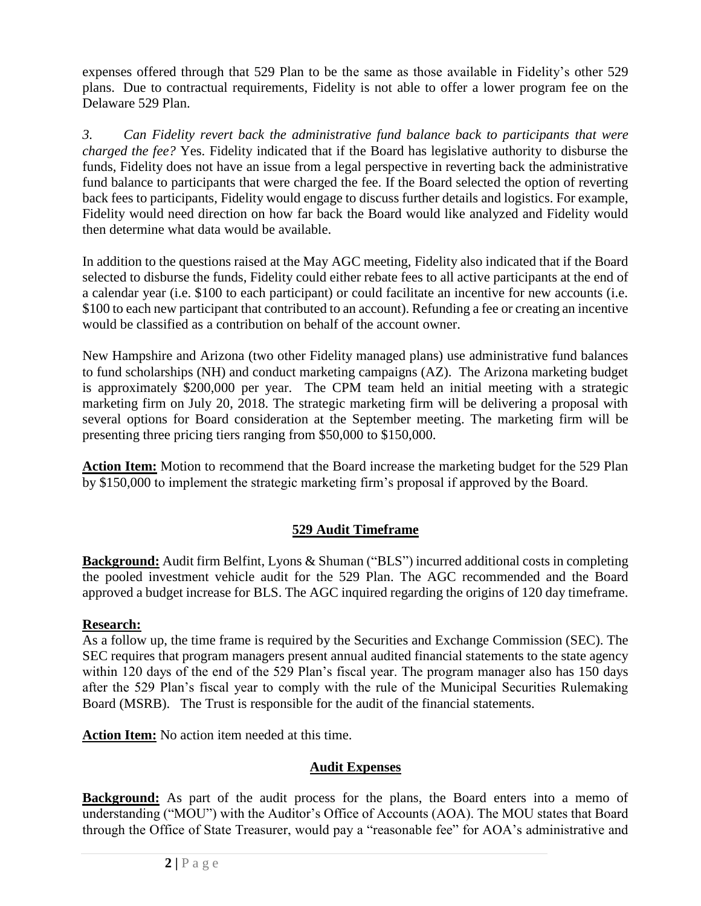expenses offered through that 529 Plan to be the same as those available in Fidelity's other 529 plans. Due to contractual requirements, Fidelity is not able to offer a lower program fee on the Delaware 529 Plan.

*3. Can Fidelity revert back the administrative fund balance back to participants that were charged the fee?* Yes. Fidelity indicated that if the Board has legislative authority to disburse the funds, Fidelity does not have an issue from a legal perspective in reverting back the administrative fund balance to participants that were charged the fee. If the Board selected the option of reverting back fees to participants, Fidelity would engage to discuss further details and logistics. For example, Fidelity would need direction on how far back the Board would like analyzed and Fidelity would then determine what data would be available.

In addition to the questions raised at the May AGC meeting, Fidelity also indicated that if the Board selected to disburse the funds, Fidelity could either rebate fees to all active participants at the end of a calendar year (i.e. \$100 to each participant) or could facilitate an incentive for new accounts (i.e. \$100 to each new participant that contributed to an account). Refunding a fee or creating an incentive would be classified as a contribution on behalf of the account owner.

New Hampshire and Arizona (two other Fidelity managed plans) use administrative fund balances to fund scholarships (NH) and conduct marketing campaigns (AZ). The Arizona marketing budget is approximately \$200,000 per year. The CPM team held an initial meeting with a strategic marketing firm on July 20, 2018. The strategic marketing firm will be delivering a proposal with several options for Board consideration at the September meeting. The marketing firm will be presenting three pricing tiers ranging from \$50,000 to \$150,000.

**Action Item:** Motion to recommend that the Board increase the marketing budget for the 529 Plan by \$150,000 to implement the strategic marketing firm's proposal if approved by the Board.

### **529 Audit Timeframe**

**Background:** Audit firm Belfint, Lyons & Shuman ("BLS") incurred additional costs in completing the pooled investment vehicle audit for the 529 Plan. The AGC recommended and the Board approved a budget increase for BLS. The AGC inquired regarding the origins of 120 day timeframe.

#### **Research:**

As a follow up, the time frame is required by the Securities and Exchange Commission (SEC). The SEC requires that program managers present annual audited financial statements to the state agency within 120 days of the end of the 529 Plan's fiscal year. The program manager also has 150 days after the 529 Plan's fiscal year to comply with the rule of the Municipal Securities Rulemaking Board (MSRB). The Trust is responsible for the audit of the financial statements.

**Action Item:** No action item needed at this time.

### **Audit Expenses**

**Background:** As part of the audit process for the plans, the Board enters into a memo of understanding ("MOU") with the Auditor's Office of Accounts (AOA). The MOU states that Board through the Office of State Treasurer, would pay a "reasonable fee" for AOA's administrative and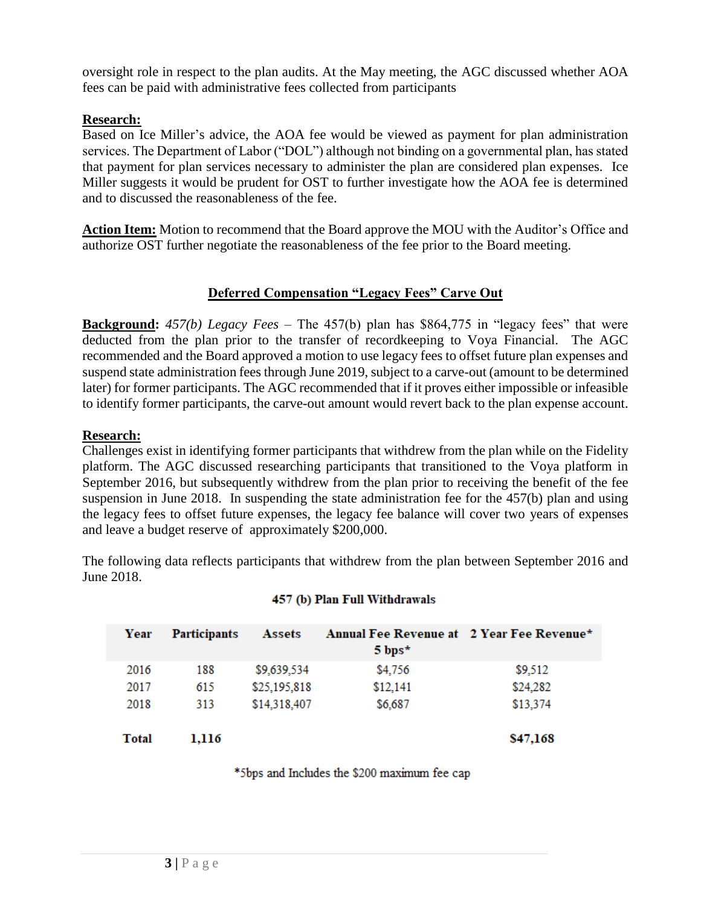oversight role in respect to the plan audits. At the May meeting, the AGC discussed whether AOA fees can be paid with administrative fees collected from participants

## **Research:**

Based on Ice Miller's advice, the AOA fee would be viewed as payment for plan administration services. The Department of Labor ("DOL") although not binding on a governmental plan, has stated that payment for plan services necessary to administer the plan are considered plan expenses. Ice Miller suggests it would be prudent for OST to further investigate how the AOA fee is determined and to discussed the reasonableness of the fee.

**Action Item:** Motion to recommend that the Board approve the MOU with the Auditor's Office and authorize OST further negotiate the reasonableness of the fee prior to the Board meeting.

# **Deferred Compensation "Legacy Fees" Carve Out**

**Background:** *457(b) Legacy Fees* – The 457(b) plan has \$864,775 in "legacy fees" that were deducted from the plan prior to the transfer of recordkeeping to Voya Financial. The AGC recommended and the Board approved a motion to use legacy fees to offset future plan expenses and suspend state administration fees through June 2019, subject to a carve-out (amount to be determined later) for former participants. The AGC recommended that if it proves either impossible or infeasible to identify former participants, the carve-out amount would revert back to the plan expense account.

### **Research:**

Challenges exist in identifying former participants that withdrew from the plan while on the Fidelity platform. The AGC discussed researching participants that transitioned to the Voya platform in September 2016, but subsequently withdrew from the plan prior to receiving the benefit of the fee suspension in June 2018. In suspending the state administration fee for the 457(b) plan and using the legacy fees to offset future expenses, the legacy fee balance will cover two years of expenses and leave a budget reserve of approximately \$200,000.

The following data reflects participants that withdrew from the plan between September 2016 and June 2018.

| Year         | <b>Participants</b> | Assets       | Annual Fee Revenue at 2 Year Fee Revenue*<br>$5$ bps* |          |
|--------------|---------------------|--------------|-------------------------------------------------------|----------|
| 2016         | 188                 | \$9,639,534  | \$4,756                                               | \$9,512  |
| 2017         | 615                 | \$25,195,818 | \$12,141                                              | \$24,282 |
| 2018         | 313                 | \$14,318,407 | \$6,687                                               | \$13,374 |
| <b>Total</b> | 1,116               |              |                                                       | \$47,168 |

#### 457 (b) Plan Full Withdrawals

\*5bps and Includes the \$200 maximum fee cap